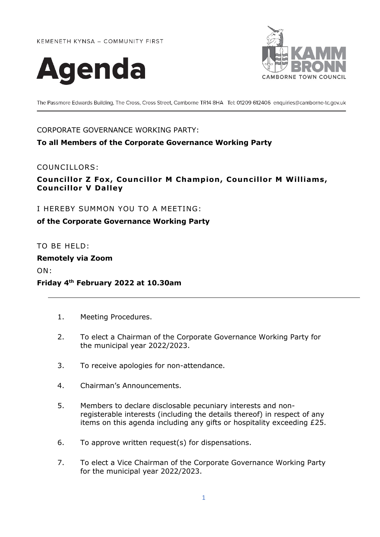KEMENETH KYNSA - COMMUNITY FIRST





The Passmore Edwards Building, The Cross, Cross Street, Camborne TR14 8HA Tel: 01209 612406 enquiries@camborne-tc.gov.uk

## CORPORATE GOVERNANCE WORKING PARTY:

## **To all Members of the Corporate Governance Working Party**

## COUNCILLORS:

# **Councillor Z Fox, Councillor M Champion, Councillor M Williams, Councillor V Dalley**

I HEREBY SUMMON YOU TO A MEETING:

## **of the Corporate Governance Working Party**

TO BE HELD:

#### **Remotely via Zoom**

ON:

## **Friday 4th February 2022 at 10.30am**

- 1. Meeting Procedures.
- 2. To elect a Chairman of the Corporate Governance Working Party for the municipal year 2022/2023.
- 3. To receive apologies for non-attendance.
- 4. Chairman's Announcements.
- 5. Members to declare disclosable pecuniary interests and nonregisterable interests (including the details thereof) in respect of any items on this agenda including any gifts or hospitality exceeding £25.
- 6. To approve written request(s) for dispensations.
- 7. To elect a Vice Chairman of the Corporate Governance Working Party for the municipal year 2022/2023.